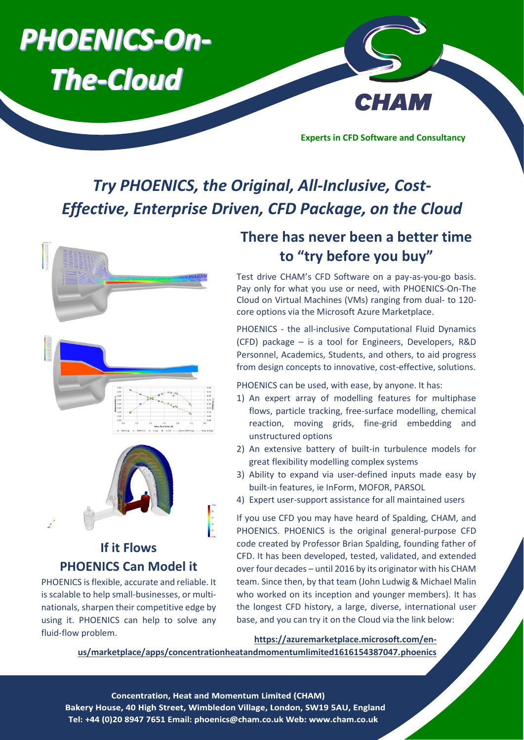

# *Try PHOENICS, the Original, All-Inclusive, Cost-Effective, Enterprise Driven, CFD Package, on the Cloud*



**If it Flows** 

**PHOENICS Can Model it** PHOENICS is flexible, accurate and reliable. It is scalable to help small-businesses, or multinationals, sharpen their competitive edge by using it. PHOENICS can help to solve any

fluid-flow problem.

# **There has never been a better time to "try before you buy"**

Test drive CHAM's CFD Software on a pay-as-you-go basis. Pay only for what you use or need, with PHOENICS-On-The Cloud on Virtual Machines (VMs) ranging from dual- to 120 core options via the Microsoft Azure Marketplace.

PHOENICS - the all-inclusive Computational Fluid Dynamics (CFD) package – is a tool for Engineers, Developers, R&D Personnel, Academics, Students, and others, to aid progress from design concepts to innovative, cost-effective, solutions.

PHOENICS can be used, with ease, by anyone. It has:

- 1) An expert array of modelling features for multiphase flows, particle tracking, free-surface modelling, chemical reaction, moving grids, fine-grid embedding and unstructured options
- 2) An extensive battery of built-in turbulence models for great flexibility modelling complex systems
- 3) Ability to expand via user-defined inputs made easy by built-in features, ie InForm, MOFOR, PARSOL
- 4) Expert user-support assistance for all maintained users

If you use CFD you may have heard of Spalding, CHAM, and PHOENICS. PHOENICS is the original general-purpose CFD code created by Professor Brian Spalding, founding father of CFD. It has been developed, tested, validated, and extended over four decades – until 2016 by its originator with his CHAM team. Since then, by that team (John Ludwig & Michael Malin who worked on its inception and younger members). It has the longest CFD history, a large, diverse, international user base, and you can try it on the Cloud via the link below:

#### **[https://azuremarketplace.microsoft.com/en-](https://azuremarketplace.microsoft.com/en-us/marketplace/apps/concentrationheatandmomentumlimited1616154387047.phoenics)**

**[us/marketplace/apps/concentrationheatandmomentumlimited1616154387047.phoenics](https://azuremarketplace.microsoft.com/en-us/marketplace/apps/concentrationheatandmomentumlimited1616154387047.phoenics)**

**Concentration, Heat and Momentum Limited (CHAM)** Bakery House, 40 High Street, Wimbledon Village, London, SW19 5AU, England Tel: +44 (0)20 8947 7651 Email: phoenics@cham.co.uk Web: www.cham.co.uk